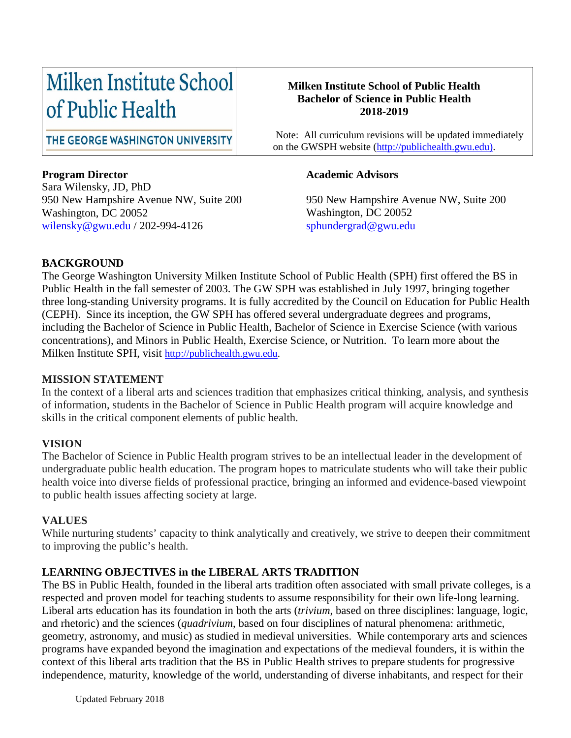# Milken Institute School of Public Health

#### **Milken Institute School of Public Health Bachelor of Science in Public Health 2018-2019**

on the GWSPH website [\(http://publichealth.gwu.edu\)](http://publichealth.gwu.edu/).

Note: All curriculum revisions will be updated immediately

THE GEORGE WASHINGTON UNIVERSITY

#### **Program Director**

Sara Wilensky, JD, PhD 950 New Hampshire Avenue NW, Suite 200 Washington, DC 20052 [wilensky@gwu.edu](mailto:wilensky@gwu.edu) / 202-994-4126

#### **Academic Advisors**

950 New Hampshire Avenue NW, Suite 200 Washington, DC 20052 [sphundergrad@gwu.edu](mailto:sphundergrad@gwu.edu)

#### **BACKGROUND**

The George Washington University Milken Institute School of Public Health (SPH) first offered the BS in Public Health in the fall semester of 2003. The GW SPH was established in July 1997, bringing together three long-standing University programs. It is fully accredited by the Council on Education for Public Health (CEPH). Since its inception, the GW SPH has offered several undergraduate degrees and programs, including the Bachelor of Science in Public Health, Bachelor of Science in Exercise Science (with various concentrations), and Minors in Public Health, Exercise Science, or Nutrition. To learn more about the Milken Institute SPH, visit [http://publichealth.gwu.edu.](http://publichealth.gwu.edu/)

#### **MISSION STATEMENT**

In the context of a liberal arts and sciences tradition that emphasizes critical thinking, analysis, and synthesis of information, students in the Bachelor of Science in Public Health program will acquire knowledge and skills in the critical component elements of public health.

#### **VISION**

The Bachelor of Science in Public Health program strives to be an intellectual leader in the development of undergraduate public health education. The program hopes to matriculate students who will take their public health voice into diverse fields of professional practice, bringing an informed and evidence-based viewpoint to public health issues affecting society at large.

#### **VALUES**

While nurturing students' capacity to think analytically and creatively, we strive to deepen their commitment to improving the public's health.

#### **LEARNING OBJECTIVES in the LIBERAL ARTS TRADITION**

The BS in Public Health, founded in the liberal arts tradition often associated with small private colleges, is a respected and proven model for teaching students to assume responsibility for their own life-long learning. Liberal arts education has its foundation in both the arts (*trivium*, based on three disciplines: language, logic, and rhetoric) and the sciences (*quadrivium*, based on four disciplines of natural phenomena: arithmetic, geometry, astronomy, and music) as studied in medieval universities. While contemporary arts and sciences programs have expanded beyond the imagination and expectations of the medieval founders, it is within the context of this liberal arts tradition that the BS in Public Health strives to prepare students for progressive independence, maturity, knowledge of the world, understanding of diverse inhabitants, and respect for their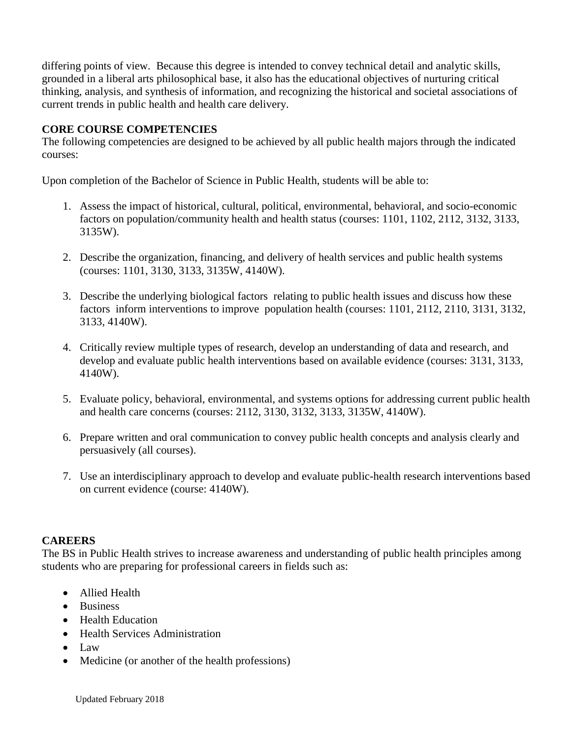differing points of view. Because this degree is intended to convey technical detail and analytic skills, grounded in a liberal arts philosophical base, it also has the educational objectives of nurturing critical thinking, analysis, and synthesis of information, and recognizing the historical and societal associations of current trends in public health and health care delivery.

#### **CORE COURSE COMPETENCIES**

The following competencies are designed to be achieved by all public health majors through the indicated courses:

Upon completion of the Bachelor of Science in Public Health, students will be able to:

- 1. Assess the impact of historical, cultural, political, environmental, behavioral, and socio-economic factors on population/community health and health status (courses: 1101, 1102, 2112, 3132, 3133, 3135W).
- 2. Describe the organization, financing, and delivery of health services and public health systems (courses: 1101, 3130, 3133, 3135W, 4140W).
- 3. Describe the underlying biological factors relating to public health issues and discuss how these factors inform interventions to improve population health (courses: 1101, 2112, 2110, 3131, 3132, 3133, 4140W).
- 4. Critically review multiple types of research, develop an understanding of data and research, and develop and evaluate public health interventions based on available evidence (courses: 3131, 3133, 4140W).
- 5. Evaluate policy, behavioral, environmental, and systems options for addressing current public health and health care concerns (courses: 2112, 3130, 3132, 3133, 3135W, 4140W).
- 6. Prepare written and oral communication to convey public health concepts and analysis clearly and persuasively (all courses).
- 7. Use an interdisciplinary approach to develop and evaluate public-health research interventions based on current evidence (course: 4140W).

#### **CAREERS**

The BS in Public Health strives to increase awareness and understanding of public health principles among students who are preparing for professional careers in fields such as:

- Allied Health
- Business
- Health Education
- Health Services Administration
- Law
- Medicine (or another of the health professions)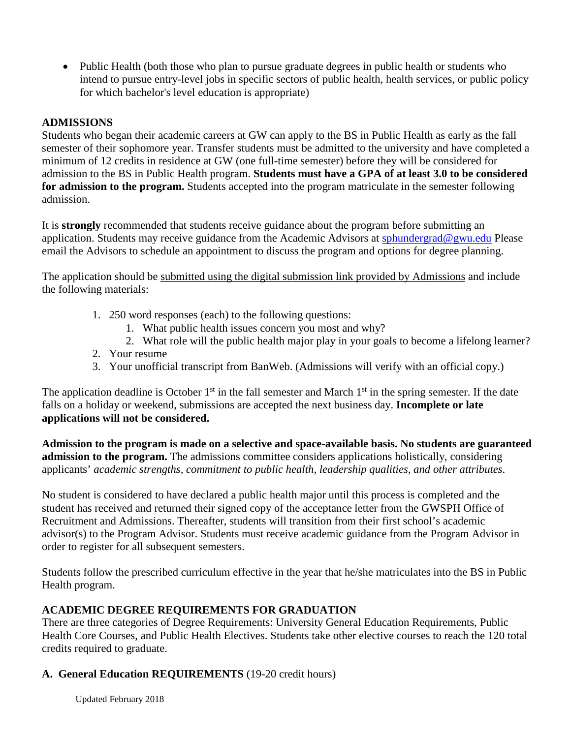• Public Health (both those who plan to pursue graduate degrees in public health or students who intend to pursue entry-level jobs in specific sectors of public health, health services, or public policy for which bachelor's level education is appropriate)

#### **ADMISSIONS**

Students who began their academic careers at GW can apply to the BS in Public Health as early as the fall semester of their sophomore year. Transfer students must be admitted to the university and have completed a minimum of 12 credits in residence at GW (one full-time semester) before they will be considered for admission to the BS in Public Health program. **Students must have a GPA of at least 3.0 to be considered for admission to the program.** Students accepted into the program matriculate in the semester following admission.

It is **strongly** recommended that students receive guidance about the program before submitting an application. Students may receive guidance from the Academic Advisors at [sphundergrad@gwu.edu](mailto:sphundergrad@gwu.edu) Please email the Advisors to schedule an appointment to discuss the program and options for degree planning.

The application should be submitted using the digital submission link provided by Admissions and include the following materials:

- 1. 250 word responses (each) to the following questions:
	- 1. What public health issues concern you most and why?
	- 2. What role will the public health major play in your goals to become a lifelong learner?
- 2. Your resume
- 3. Your unofficial transcript from BanWeb. (Admissions will verify with an official copy.)

The application deadline is October  $1<sup>st</sup>$  in the fall semester and March  $1<sup>st</sup>$  in the spring semester. If the date falls on a holiday or weekend, submissions are accepted the next business day. **Incomplete or late applications will not be considered.**

**Admission to the program is made on a selective and space-available basis. No students are guaranteed admission to the program.** The admissions committee considers applications holistically, considering applicants' *academic strengths, commitment to public health, leadership qualities, and other attributes*.

No student is considered to have declared a public health major until this process is completed and the student has received and returned their signed copy of the acceptance letter from the GWSPH Office of Recruitment and Admissions. Thereafter, students will transition from their first school's academic advisor(s) to the Program Advisor. Students must receive academic guidance from the Program Advisor in order to register for all subsequent semesters.

Students follow the prescribed curriculum effective in the year that he/she matriculates into the BS in Public Health program.

#### **ACADEMIC DEGREE REQUIREMENTS FOR GRADUATION**

There are three categories of Degree Requirements: University General Education Requirements, Public Health Core Courses, and Public Health Electives. Students take other elective courses to reach the 120 total credits required to graduate.

#### **A. General Education REQUIREMENTS** (19-20 credit hours)

Updated February 2018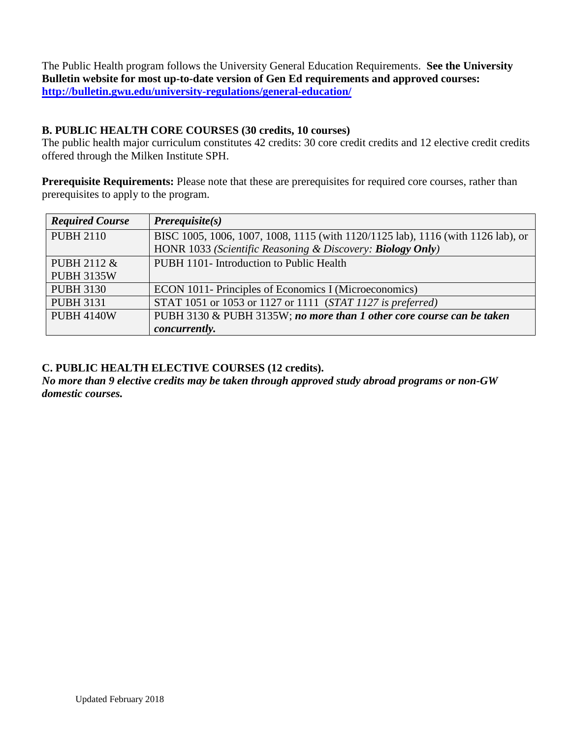The Public Health program follows the University General Education Requirements. **See the University Bulletin website for most up-to-date version of Gen Ed requirements and approved courses: <http://bulletin.gwu.edu/university-regulations/general-education/>**

#### **B. PUBLIC HEALTH CORE COURSES (30 credits, 10 courses)**

The public health major curriculum constitutes 42 credits: 30 core credit credits and 12 elective credit credits offered through the Milken Institute SPH.

**Prerequisite Requirements:** Please note that these are prerequisites for required core courses, rather than prerequisites to apply to the program.

| <b>Required Course</b> | $Prerequisite(s)$                                                                |
|------------------------|----------------------------------------------------------------------------------|
| <b>PUBH 2110</b>       | BISC 1005, 1006, 1007, 1008, 1115 (with 1120/1125 lab), 1116 (with 1126 lab), or |
|                        | HONR 1033 (Scientific Reasoning & Discovery: Biology Only)                       |
| PUBH 2112 &            | PUBH 1101- Introduction to Public Health                                         |
| <b>PUBH 3135W</b>      |                                                                                  |
| <b>PUBH 3130</b>       | ECON 1011- Principles of Economics I (Microeconomics)                            |
| <b>PUBH 3131</b>       | STAT 1051 or 1053 or 1127 or 1111 (STAT 1127 is preferred)                       |
| <b>PUBH 4140W</b>      | PUBH 3130 & PUBH 3135W; no more than 1 other core course can be taken            |
|                        | concurrently.                                                                    |

#### **C. PUBLIC HEALTH ELECTIVE COURSES (12 credits).**

*No more than 9 elective credits may be taken through approved study abroad programs or non-GW domestic courses.*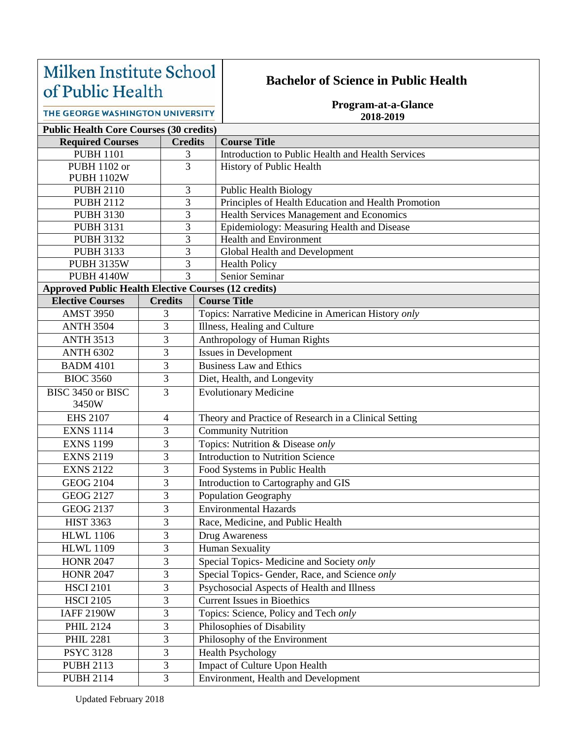## Milken Institute School of Public Health

### **Bachelor of Science in Public Health**

**Program-at-a-Glance 2018-2019**

|  | THE GEORGE WASHINGTON UNIVERSITY |  |
|--|----------------------------------|--|
|--|----------------------------------|--|

| <b>Public Health Core Courses (30 credits)</b>                                         |   |                     |                                                                |  |  |  |  |
|----------------------------------------------------------------------------------------|---|---------------------|----------------------------------------------------------------|--|--|--|--|
| <b>Required Courses</b>                                                                |   | <b>Credits</b>      | <b>Course Title</b>                                            |  |  |  |  |
| <b>PUBH 1101</b>                                                                       | 3 |                     | Introduction to Public Health and Health Services              |  |  |  |  |
| PUBH 1102 or                                                                           |   | 3                   | History of Public Health                                       |  |  |  |  |
| <b>PUBH 1102W</b>                                                                      |   |                     |                                                                |  |  |  |  |
| <b>PUBH 2110</b>                                                                       |   | 3                   | Public Health Biology                                          |  |  |  |  |
| <b>PUBH 2112</b>                                                                       |   | $\overline{3}$      | Principles of Health Education and Health Promotion            |  |  |  |  |
| <b>PUBH 3130</b>                                                                       |   | $\overline{3}$      | Health Services Management and Economics                       |  |  |  |  |
| <b>PUBH 3131</b>                                                                       |   | 3                   | Epidemiology: Measuring Health and Disease                     |  |  |  |  |
| <b>PUBH 3132</b>                                                                       |   | 3                   | Health and Environment                                         |  |  |  |  |
| <b>PUBH 3133</b>                                                                       |   | 3                   | Global Health and Development                                  |  |  |  |  |
| <b>PUBH 3135W</b>                                                                      |   | 3<br>3              | <b>Health Policy</b><br>Senior Seminar                         |  |  |  |  |
| <b>PUBH 4140W</b>                                                                      |   |                     |                                                                |  |  |  |  |
| <b>Approved Public Health Elective Courses (12 credits)</b><br><b>Elective Courses</b> |   | <b>Credits</b>      | <b>Course Title</b>                                            |  |  |  |  |
| <b>AMST 3950</b>                                                                       |   | 3                   | Topics: Narrative Medicine in American History only            |  |  |  |  |
|                                                                                        |   | 3                   |                                                                |  |  |  |  |
| <b>ANTH 3504</b>                                                                       |   | 3                   | Illness, Healing and Culture                                   |  |  |  |  |
| <b>ANTH 3513</b>                                                                       |   |                     | Anthropology of Human Rights                                   |  |  |  |  |
| <b>ANTH 6302</b>                                                                       |   | 3<br>$\overline{3}$ | <b>Issues in Development</b><br><b>Business Law and Ethics</b> |  |  |  |  |
| <b>BADM 4101</b>                                                                       |   |                     |                                                                |  |  |  |  |
| <b>BIOC 3560</b>                                                                       |   | 3                   | Diet, Health, and Longevity                                    |  |  |  |  |
| BISC 3450 or BISC                                                                      |   | $\overline{3}$      | <b>Evolutionary Medicine</b>                                   |  |  |  |  |
| 3450W                                                                                  |   |                     |                                                                |  |  |  |  |
| <b>EHS 2107</b>                                                                        |   | $\overline{4}$      | Theory and Practice of Research in a Clinical Setting          |  |  |  |  |
| <b>EXNS 1114</b>                                                                       |   | 3                   | <b>Community Nutrition</b>                                     |  |  |  |  |
| <b>EXNS 1199</b>                                                                       |   | 3                   | Topics: Nutrition & Disease only                               |  |  |  |  |
| <b>EXNS 2119</b>                                                                       |   | 3                   | <b>Introduction to Nutrition Science</b>                       |  |  |  |  |
| <b>EXNS 2122</b>                                                                       |   | 3                   | Food Systems in Public Health                                  |  |  |  |  |
| <b>GEOG 2104</b>                                                                       |   | 3                   | Introduction to Cartography and GIS                            |  |  |  |  |
| <b>GEOG 2127</b>                                                                       |   | 3                   | Population Geography                                           |  |  |  |  |
| <b>GEOG 2137</b>                                                                       |   | 3                   | <b>Environmental Hazards</b>                                   |  |  |  |  |
| <b>HIST 3363</b>                                                                       |   | 3                   | Race, Medicine, and Public Health                              |  |  |  |  |
| <b>HLWL 1106</b>                                                                       |   | 3                   | Drug Awareness                                                 |  |  |  |  |
| <b>HLWL 1109</b>                                                                       |   | 3                   | <b>Human Sexuality</b>                                         |  |  |  |  |
| <b>HONR 2047</b>                                                                       |   | 3                   | Special Topics- Medicine and Society only                      |  |  |  |  |
| <b>HONR 2047</b>                                                                       |   | $\overline{3}$      | Special Topics- Gender, Race, and Science only                 |  |  |  |  |
| <b>HSCI 2101</b>                                                                       |   | $\overline{3}$      | Psychosocial Aspects of Health and Illness                     |  |  |  |  |
| <b>HSCI 2105</b>                                                                       |   | $\overline{3}$      | <b>Current Issues in Bioethics</b>                             |  |  |  |  |
| <b>IAFF 2190W</b>                                                                      |   | $\overline{3}$      | Topics: Science, Policy and Tech only                          |  |  |  |  |
| <b>PHIL 2124</b>                                                                       |   | $\overline{3}$      | Philosophies of Disability                                     |  |  |  |  |
| <b>PHIL 2281</b>                                                                       |   | 3                   | Philosophy of the Environment                                  |  |  |  |  |
| <b>PSYC 3128</b>                                                                       |   | 3                   | <b>Health Psychology</b>                                       |  |  |  |  |
| <b>PUBH 2113</b>                                                                       |   | $\overline{3}$      | Impact of Culture Upon Health                                  |  |  |  |  |
| <b>PUBH 2114</b>                                                                       |   | $\overline{3}$      | Environment, Health and Development                            |  |  |  |  |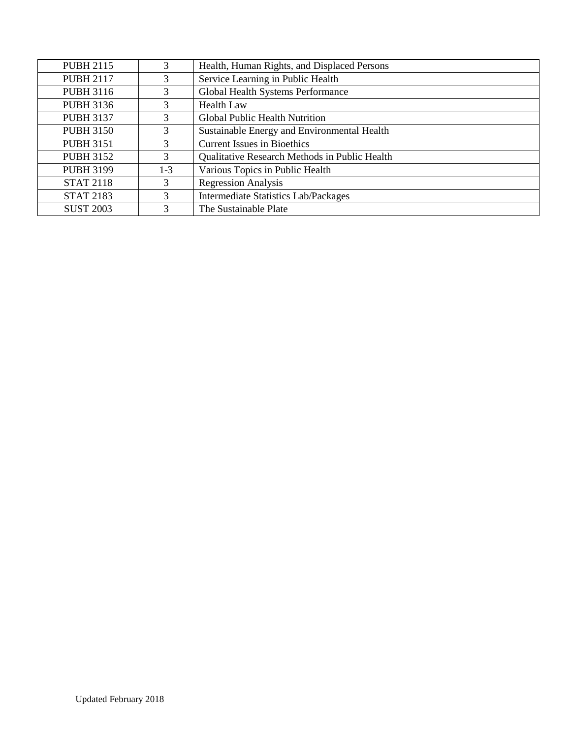| <b>PUBH 2115</b> | 3             | Health, Human Rights, and Displaced Persons   |  |  |
|------------------|---------------|-----------------------------------------------|--|--|
| <b>PUBH 2117</b> | 3             | Service Learning in Public Health             |  |  |
| <b>PUBH 3116</b> | 3             | Global Health Systems Performance             |  |  |
| <b>PUBH 3136</b> | 3             | <b>Health Law</b>                             |  |  |
| <b>PUBH 3137</b> | 3             | <b>Global Public Health Nutrition</b>         |  |  |
| <b>PUBH 3150</b> | 3             | Sustainable Energy and Environmental Health   |  |  |
| <b>PUBH 3151</b> | 3             | <b>Current Issues in Bioethics</b>            |  |  |
| <b>PUBH 3152</b> | 3             | Qualitative Research Methods in Public Health |  |  |
| <b>PUBH 3199</b> | $1 - 3$       | Various Topics in Public Health               |  |  |
| <b>STAT 2118</b> | 3             | <b>Regression Analysis</b>                    |  |  |
| <b>STAT 2183</b> | 3             | <b>Intermediate Statistics Lab/Packages</b>   |  |  |
| <b>SUST 2003</b> | $\mathcal{F}$ | The Sustainable Plate                         |  |  |